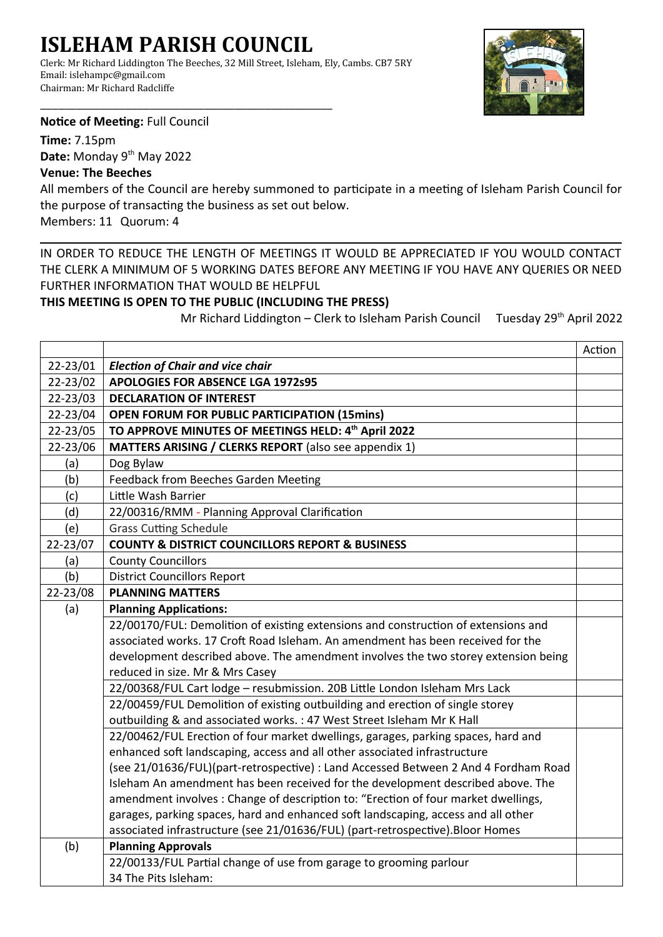## **ISLEHAM PARISH COUNCIL**

\_\_\_\_\_\_\_\_\_\_\_\_\_\_\_\_\_\_\_\_\_\_\_\_\_\_\_\_\_\_\_\_\_\_\_\_\_\_\_\_\_\_\_\_\_\_\_\_

Clerk: Mr Richard Liddington The Beeches, 32 Mill Street, Isleham, Ely, Cambs. CB7 5RY Email: islehampc@gmail.com Chairman: Mr Richard Radcliffe



**Notice of Meeting:** Full Council

**Time:** 7.15pm Date: Monday 9<sup>th</sup> May 2022

## **Venue: The Beeches**

All members of the Council are hereby summoned to participate in a meeting of Isleham Parish Council for the purpose of transacting the business as set out below.

Members: 11 Quorum: 4

IN ORDER TO REDUCE THE LENGTH OF MEETINGS IT WOULD BE APPRECIATED IF YOU WOULD CONTACT THE CLERK A MINIMUM OF 5 WORKING DATES BEFORE ANY MEETING IF YOU HAVE ANY QUERIES OR NEED FURTHER INFORMATION THAT WOULD BE HELPFUL

## **THIS MEETING IS OPEN TO THE PUBLIC (INCLUDING THE PRESS)**

Mr Richard Liddington – Clerk to Isleham Parish Council Tuesday 29<sup>th</sup> April 2022

|          |                                                                                     | Action |
|----------|-------------------------------------------------------------------------------------|--------|
| 22-23/01 | <b>Election of Chair and vice chair</b>                                             |        |
| 22-23/02 | <b>APOLOGIES FOR ABSENCE LGA 1972s95</b>                                            |        |
| 22-23/03 | <b>DECLARATION OF INTEREST</b>                                                      |        |
| 22-23/04 | <b>OPEN FORUM FOR PUBLIC PARTICIPATION (15mins)</b>                                 |        |
| 22-23/05 | TO APPROVE MINUTES OF MEETINGS HELD: 4th April 2022                                 |        |
| 22-23/06 | MATTERS ARISING / CLERKS REPORT (also see appendix 1)                               |        |
| (a)      | Dog Bylaw                                                                           |        |
| (b)      | Feedback from Beeches Garden Meeting                                                |        |
| (c)      | Little Wash Barrier                                                                 |        |
| (d)      | 22/00316/RMM - Planning Approval Clarification                                      |        |
| (e)      | <b>Grass Cutting Schedule</b>                                                       |        |
| 22-23/07 | <b>COUNTY &amp; DISTRICT COUNCILLORS REPORT &amp; BUSINESS</b>                      |        |
| (a)      | <b>County Councillors</b>                                                           |        |
| (b)      | <b>District Councillors Report</b>                                                  |        |
| 22-23/08 | <b>PLANNING MATTERS</b>                                                             |        |
| (a)      | <b>Planning Applications:</b>                                                       |        |
|          | 22/00170/FUL: Demolition of existing extensions and construction of extensions and  |        |
|          | associated works. 17 Croft Road Isleham. An amendment has been received for the     |        |
|          | development described above. The amendment involves the two storey extension being  |        |
|          | reduced in size. Mr & Mrs Casey                                                     |        |
|          | 22/00368/FUL Cart lodge - resubmission. 20B Little London Isleham Mrs Lack          |        |
|          | 22/00459/FUL Demolition of existing outbuilding and erection of single storey       |        |
|          | outbuilding & and associated works. : 47 West Street Isleham Mr K Hall              |        |
|          | 22/00462/FUL Erection of four market dwellings, garages, parking spaces, hard and   |        |
|          | enhanced soft landscaping, access and all other associated infrastructure           |        |
|          | (see 21/01636/FUL)(part-retrospective) : Land Accessed Between 2 And 4 Fordham Road |        |
|          | Isleham An amendment has been received for the development described above. The     |        |
|          | amendment involves : Change of description to: "Erection of four market dwellings,  |        |
|          | garages, parking spaces, hard and enhanced soft landscaping, access and all other   |        |
|          | associated infrastructure (see 21/01636/FUL) (part-retrospective). Bloor Homes      |        |
| (b)      | <b>Planning Approvals</b>                                                           |        |
|          | 22/00133/FUL Partial change of use from garage to grooming parlour                  |        |
|          | 34 The Pits Isleham:                                                                |        |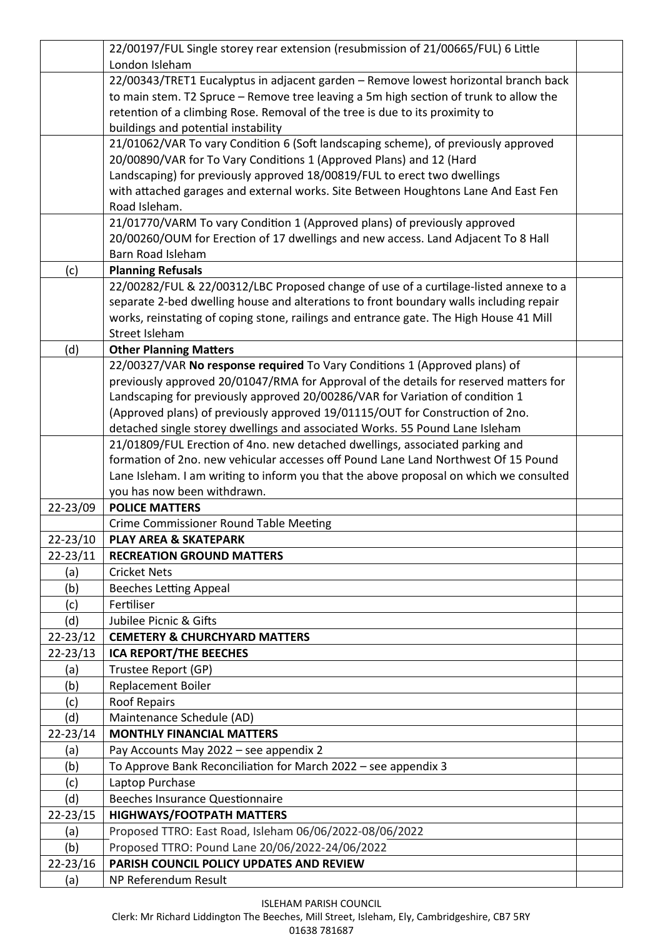| London Isleham<br>22/00343/TRET1 Eucalyptus in adjacent garden - Remove lowest horizontal branch back<br>to main stem. T2 Spruce - Remove tree leaving a 5m high section of trunk to allow the<br>retention of a climbing Rose. Removal of the tree is due to its proximity to<br>buildings and potential instability<br>21/01062/VAR To vary Condition 6 (Soft landscaping scheme), of previously approved<br>20/00890/VAR for To Vary Conditions 1 (Approved Plans) and 12 (Hard<br>Landscaping) for previously approved 18/00819/FUL to erect two dwellings<br>with attached garages and external works. Site Between Houghtons Lane And East Fen<br>Road Isleham.<br>21/01770/VARM To vary Condition 1 (Approved plans) of previously approved<br>20/00260/OUM for Erection of 17 dwellings and new access. Land Adjacent To 8 Hall<br>Barn Road Isleham<br><b>Planning Refusals</b><br>(c)<br>22/00282/FUL & 22/00312/LBC Proposed change of use of a curtilage-listed annexe to a<br>separate 2-bed dwelling house and alterations to front boundary walls including repair<br>works, reinstating of coping stone, railings and entrance gate. The High House 41 Mill<br>Street Isleham<br><b>Other Planning Matters</b><br>(d)<br>22/00327/VAR No response required To Vary Conditions 1 (Approved plans) of<br>previously approved 20/01047/RMA for Approval of the details for reserved matters for<br>Landscaping for previously approved 20/00286/VAR for Variation of condition 1<br>(Approved plans) of previously approved 19/01115/OUT for Construction of 2no.<br>detached single storey dwellings and associated Works. 55 Pound Lane Isleham<br>21/01809/FUL Erection of 4no. new detached dwellings, associated parking and<br>formation of 2no. new vehicular accesses off Pound Lane Land Northwest Of 15 Pound<br>Lane Isleham. I am writing to inform you that the above proposal on which we consulted<br>you has now been withdrawn.<br>22-23/09<br><b>POLICE MATTERS</b><br>Crime Commissioner Round Table Meeting<br>22-23/10<br><b>PLAY AREA &amp; SKATEPARK</b><br>$22 - 23/11$<br><b>RECREATION GROUND MATTERS</b><br>(a)<br><b>Cricket Nets</b><br><b>Beeches Letting Appeal</b><br>(b)<br>Fertiliser<br>(c)<br>Jubilee Picnic & Gifts<br>(d)<br>$22 - 23/12$<br><b>CEMETERY &amp; CHURCHYARD MATTERS</b><br>$22 - 23/13$<br><b>ICA REPORT/THE BEECHES</b><br>Trustee Report (GP)<br>(a)<br>Replacement Boiler<br>(b)<br><b>Roof Repairs</b><br>(c)<br>(d)<br>Maintenance Schedule (AD)<br>$22 - 23/14$<br><b>MONTHLY FINANCIAL MATTERS</b><br>Pay Accounts May 2022 - see appendix 2<br>(a) |
|-----------------------------------------------------------------------------------------------------------------------------------------------------------------------------------------------------------------------------------------------------------------------------------------------------------------------------------------------------------------------------------------------------------------------------------------------------------------------------------------------------------------------------------------------------------------------------------------------------------------------------------------------------------------------------------------------------------------------------------------------------------------------------------------------------------------------------------------------------------------------------------------------------------------------------------------------------------------------------------------------------------------------------------------------------------------------------------------------------------------------------------------------------------------------------------------------------------------------------------------------------------------------------------------------------------------------------------------------------------------------------------------------------------------------------------------------------------------------------------------------------------------------------------------------------------------------------------------------------------------------------------------------------------------------------------------------------------------------------------------------------------------------------------------------------------------------------------------------------------------------------------------------------------------------------------------------------------------------------------------------------------------------------------------------------------------------------------------------------------------------------------------------------------------------------------------------------------------------------------------------------------------------------------------------------------------------------------------------------------------------------------------------------------------------------------------------------------------------------------------------------------------------------------------------------------------------------------------------------------------------------|
|                                                                                                                                                                                                                                                                                                                                                                                                                                                                                                                                                                                                                                                                                                                                                                                                                                                                                                                                                                                                                                                                                                                                                                                                                                                                                                                                                                                                                                                                                                                                                                                                                                                                                                                                                                                                                                                                                                                                                                                                                                                                                                                                                                                                                                                                                                                                                                                                                                                                                                                                                                                                                             |
|                                                                                                                                                                                                                                                                                                                                                                                                                                                                                                                                                                                                                                                                                                                                                                                                                                                                                                                                                                                                                                                                                                                                                                                                                                                                                                                                                                                                                                                                                                                                                                                                                                                                                                                                                                                                                                                                                                                                                                                                                                                                                                                                                                                                                                                                                                                                                                                                                                                                                                                                                                                                                             |
|                                                                                                                                                                                                                                                                                                                                                                                                                                                                                                                                                                                                                                                                                                                                                                                                                                                                                                                                                                                                                                                                                                                                                                                                                                                                                                                                                                                                                                                                                                                                                                                                                                                                                                                                                                                                                                                                                                                                                                                                                                                                                                                                                                                                                                                                                                                                                                                                                                                                                                                                                                                                                             |
|                                                                                                                                                                                                                                                                                                                                                                                                                                                                                                                                                                                                                                                                                                                                                                                                                                                                                                                                                                                                                                                                                                                                                                                                                                                                                                                                                                                                                                                                                                                                                                                                                                                                                                                                                                                                                                                                                                                                                                                                                                                                                                                                                                                                                                                                                                                                                                                                                                                                                                                                                                                                                             |
|                                                                                                                                                                                                                                                                                                                                                                                                                                                                                                                                                                                                                                                                                                                                                                                                                                                                                                                                                                                                                                                                                                                                                                                                                                                                                                                                                                                                                                                                                                                                                                                                                                                                                                                                                                                                                                                                                                                                                                                                                                                                                                                                                                                                                                                                                                                                                                                                                                                                                                                                                                                                                             |
|                                                                                                                                                                                                                                                                                                                                                                                                                                                                                                                                                                                                                                                                                                                                                                                                                                                                                                                                                                                                                                                                                                                                                                                                                                                                                                                                                                                                                                                                                                                                                                                                                                                                                                                                                                                                                                                                                                                                                                                                                                                                                                                                                                                                                                                                                                                                                                                                                                                                                                                                                                                                                             |
|                                                                                                                                                                                                                                                                                                                                                                                                                                                                                                                                                                                                                                                                                                                                                                                                                                                                                                                                                                                                                                                                                                                                                                                                                                                                                                                                                                                                                                                                                                                                                                                                                                                                                                                                                                                                                                                                                                                                                                                                                                                                                                                                                                                                                                                                                                                                                                                                                                                                                                                                                                                                                             |
|                                                                                                                                                                                                                                                                                                                                                                                                                                                                                                                                                                                                                                                                                                                                                                                                                                                                                                                                                                                                                                                                                                                                                                                                                                                                                                                                                                                                                                                                                                                                                                                                                                                                                                                                                                                                                                                                                                                                                                                                                                                                                                                                                                                                                                                                                                                                                                                                                                                                                                                                                                                                                             |
|                                                                                                                                                                                                                                                                                                                                                                                                                                                                                                                                                                                                                                                                                                                                                                                                                                                                                                                                                                                                                                                                                                                                                                                                                                                                                                                                                                                                                                                                                                                                                                                                                                                                                                                                                                                                                                                                                                                                                                                                                                                                                                                                                                                                                                                                                                                                                                                                                                                                                                                                                                                                                             |
|                                                                                                                                                                                                                                                                                                                                                                                                                                                                                                                                                                                                                                                                                                                                                                                                                                                                                                                                                                                                                                                                                                                                                                                                                                                                                                                                                                                                                                                                                                                                                                                                                                                                                                                                                                                                                                                                                                                                                                                                                                                                                                                                                                                                                                                                                                                                                                                                                                                                                                                                                                                                                             |
|                                                                                                                                                                                                                                                                                                                                                                                                                                                                                                                                                                                                                                                                                                                                                                                                                                                                                                                                                                                                                                                                                                                                                                                                                                                                                                                                                                                                                                                                                                                                                                                                                                                                                                                                                                                                                                                                                                                                                                                                                                                                                                                                                                                                                                                                                                                                                                                                                                                                                                                                                                                                                             |
|                                                                                                                                                                                                                                                                                                                                                                                                                                                                                                                                                                                                                                                                                                                                                                                                                                                                                                                                                                                                                                                                                                                                                                                                                                                                                                                                                                                                                                                                                                                                                                                                                                                                                                                                                                                                                                                                                                                                                                                                                                                                                                                                                                                                                                                                                                                                                                                                                                                                                                                                                                                                                             |
|                                                                                                                                                                                                                                                                                                                                                                                                                                                                                                                                                                                                                                                                                                                                                                                                                                                                                                                                                                                                                                                                                                                                                                                                                                                                                                                                                                                                                                                                                                                                                                                                                                                                                                                                                                                                                                                                                                                                                                                                                                                                                                                                                                                                                                                                                                                                                                                                                                                                                                                                                                                                                             |
|                                                                                                                                                                                                                                                                                                                                                                                                                                                                                                                                                                                                                                                                                                                                                                                                                                                                                                                                                                                                                                                                                                                                                                                                                                                                                                                                                                                                                                                                                                                                                                                                                                                                                                                                                                                                                                                                                                                                                                                                                                                                                                                                                                                                                                                                                                                                                                                                                                                                                                                                                                                                                             |
|                                                                                                                                                                                                                                                                                                                                                                                                                                                                                                                                                                                                                                                                                                                                                                                                                                                                                                                                                                                                                                                                                                                                                                                                                                                                                                                                                                                                                                                                                                                                                                                                                                                                                                                                                                                                                                                                                                                                                                                                                                                                                                                                                                                                                                                                                                                                                                                                                                                                                                                                                                                                                             |
|                                                                                                                                                                                                                                                                                                                                                                                                                                                                                                                                                                                                                                                                                                                                                                                                                                                                                                                                                                                                                                                                                                                                                                                                                                                                                                                                                                                                                                                                                                                                                                                                                                                                                                                                                                                                                                                                                                                                                                                                                                                                                                                                                                                                                                                                                                                                                                                                                                                                                                                                                                                                                             |
|                                                                                                                                                                                                                                                                                                                                                                                                                                                                                                                                                                                                                                                                                                                                                                                                                                                                                                                                                                                                                                                                                                                                                                                                                                                                                                                                                                                                                                                                                                                                                                                                                                                                                                                                                                                                                                                                                                                                                                                                                                                                                                                                                                                                                                                                                                                                                                                                                                                                                                                                                                                                                             |
|                                                                                                                                                                                                                                                                                                                                                                                                                                                                                                                                                                                                                                                                                                                                                                                                                                                                                                                                                                                                                                                                                                                                                                                                                                                                                                                                                                                                                                                                                                                                                                                                                                                                                                                                                                                                                                                                                                                                                                                                                                                                                                                                                                                                                                                                                                                                                                                                                                                                                                                                                                                                                             |
|                                                                                                                                                                                                                                                                                                                                                                                                                                                                                                                                                                                                                                                                                                                                                                                                                                                                                                                                                                                                                                                                                                                                                                                                                                                                                                                                                                                                                                                                                                                                                                                                                                                                                                                                                                                                                                                                                                                                                                                                                                                                                                                                                                                                                                                                                                                                                                                                                                                                                                                                                                                                                             |
|                                                                                                                                                                                                                                                                                                                                                                                                                                                                                                                                                                                                                                                                                                                                                                                                                                                                                                                                                                                                                                                                                                                                                                                                                                                                                                                                                                                                                                                                                                                                                                                                                                                                                                                                                                                                                                                                                                                                                                                                                                                                                                                                                                                                                                                                                                                                                                                                                                                                                                                                                                                                                             |
|                                                                                                                                                                                                                                                                                                                                                                                                                                                                                                                                                                                                                                                                                                                                                                                                                                                                                                                                                                                                                                                                                                                                                                                                                                                                                                                                                                                                                                                                                                                                                                                                                                                                                                                                                                                                                                                                                                                                                                                                                                                                                                                                                                                                                                                                                                                                                                                                                                                                                                                                                                                                                             |
|                                                                                                                                                                                                                                                                                                                                                                                                                                                                                                                                                                                                                                                                                                                                                                                                                                                                                                                                                                                                                                                                                                                                                                                                                                                                                                                                                                                                                                                                                                                                                                                                                                                                                                                                                                                                                                                                                                                                                                                                                                                                                                                                                                                                                                                                                                                                                                                                                                                                                                                                                                                                                             |
|                                                                                                                                                                                                                                                                                                                                                                                                                                                                                                                                                                                                                                                                                                                                                                                                                                                                                                                                                                                                                                                                                                                                                                                                                                                                                                                                                                                                                                                                                                                                                                                                                                                                                                                                                                                                                                                                                                                                                                                                                                                                                                                                                                                                                                                                                                                                                                                                                                                                                                                                                                                                                             |
|                                                                                                                                                                                                                                                                                                                                                                                                                                                                                                                                                                                                                                                                                                                                                                                                                                                                                                                                                                                                                                                                                                                                                                                                                                                                                                                                                                                                                                                                                                                                                                                                                                                                                                                                                                                                                                                                                                                                                                                                                                                                                                                                                                                                                                                                                                                                                                                                                                                                                                                                                                                                                             |
|                                                                                                                                                                                                                                                                                                                                                                                                                                                                                                                                                                                                                                                                                                                                                                                                                                                                                                                                                                                                                                                                                                                                                                                                                                                                                                                                                                                                                                                                                                                                                                                                                                                                                                                                                                                                                                                                                                                                                                                                                                                                                                                                                                                                                                                                                                                                                                                                                                                                                                                                                                                                                             |
|                                                                                                                                                                                                                                                                                                                                                                                                                                                                                                                                                                                                                                                                                                                                                                                                                                                                                                                                                                                                                                                                                                                                                                                                                                                                                                                                                                                                                                                                                                                                                                                                                                                                                                                                                                                                                                                                                                                                                                                                                                                                                                                                                                                                                                                                                                                                                                                                                                                                                                                                                                                                                             |
|                                                                                                                                                                                                                                                                                                                                                                                                                                                                                                                                                                                                                                                                                                                                                                                                                                                                                                                                                                                                                                                                                                                                                                                                                                                                                                                                                                                                                                                                                                                                                                                                                                                                                                                                                                                                                                                                                                                                                                                                                                                                                                                                                                                                                                                                                                                                                                                                                                                                                                                                                                                                                             |
|                                                                                                                                                                                                                                                                                                                                                                                                                                                                                                                                                                                                                                                                                                                                                                                                                                                                                                                                                                                                                                                                                                                                                                                                                                                                                                                                                                                                                                                                                                                                                                                                                                                                                                                                                                                                                                                                                                                                                                                                                                                                                                                                                                                                                                                                                                                                                                                                                                                                                                                                                                                                                             |
|                                                                                                                                                                                                                                                                                                                                                                                                                                                                                                                                                                                                                                                                                                                                                                                                                                                                                                                                                                                                                                                                                                                                                                                                                                                                                                                                                                                                                                                                                                                                                                                                                                                                                                                                                                                                                                                                                                                                                                                                                                                                                                                                                                                                                                                                                                                                                                                                                                                                                                                                                                                                                             |
|                                                                                                                                                                                                                                                                                                                                                                                                                                                                                                                                                                                                                                                                                                                                                                                                                                                                                                                                                                                                                                                                                                                                                                                                                                                                                                                                                                                                                                                                                                                                                                                                                                                                                                                                                                                                                                                                                                                                                                                                                                                                                                                                                                                                                                                                                                                                                                                                                                                                                                                                                                                                                             |
|                                                                                                                                                                                                                                                                                                                                                                                                                                                                                                                                                                                                                                                                                                                                                                                                                                                                                                                                                                                                                                                                                                                                                                                                                                                                                                                                                                                                                                                                                                                                                                                                                                                                                                                                                                                                                                                                                                                                                                                                                                                                                                                                                                                                                                                                                                                                                                                                                                                                                                                                                                                                                             |
|                                                                                                                                                                                                                                                                                                                                                                                                                                                                                                                                                                                                                                                                                                                                                                                                                                                                                                                                                                                                                                                                                                                                                                                                                                                                                                                                                                                                                                                                                                                                                                                                                                                                                                                                                                                                                                                                                                                                                                                                                                                                                                                                                                                                                                                                                                                                                                                                                                                                                                                                                                                                                             |
|                                                                                                                                                                                                                                                                                                                                                                                                                                                                                                                                                                                                                                                                                                                                                                                                                                                                                                                                                                                                                                                                                                                                                                                                                                                                                                                                                                                                                                                                                                                                                                                                                                                                                                                                                                                                                                                                                                                                                                                                                                                                                                                                                                                                                                                                                                                                                                                                                                                                                                                                                                                                                             |
|                                                                                                                                                                                                                                                                                                                                                                                                                                                                                                                                                                                                                                                                                                                                                                                                                                                                                                                                                                                                                                                                                                                                                                                                                                                                                                                                                                                                                                                                                                                                                                                                                                                                                                                                                                                                                                                                                                                                                                                                                                                                                                                                                                                                                                                                                                                                                                                                                                                                                                                                                                                                                             |
|                                                                                                                                                                                                                                                                                                                                                                                                                                                                                                                                                                                                                                                                                                                                                                                                                                                                                                                                                                                                                                                                                                                                                                                                                                                                                                                                                                                                                                                                                                                                                                                                                                                                                                                                                                                                                                                                                                                                                                                                                                                                                                                                                                                                                                                                                                                                                                                                                                                                                                                                                                                                                             |
|                                                                                                                                                                                                                                                                                                                                                                                                                                                                                                                                                                                                                                                                                                                                                                                                                                                                                                                                                                                                                                                                                                                                                                                                                                                                                                                                                                                                                                                                                                                                                                                                                                                                                                                                                                                                                                                                                                                                                                                                                                                                                                                                                                                                                                                                                                                                                                                                                                                                                                                                                                                                                             |
|                                                                                                                                                                                                                                                                                                                                                                                                                                                                                                                                                                                                                                                                                                                                                                                                                                                                                                                                                                                                                                                                                                                                                                                                                                                                                                                                                                                                                                                                                                                                                                                                                                                                                                                                                                                                                                                                                                                                                                                                                                                                                                                                                                                                                                                                                                                                                                                                                                                                                                                                                                                                                             |
|                                                                                                                                                                                                                                                                                                                                                                                                                                                                                                                                                                                                                                                                                                                                                                                                                                                                                                                                                                                                                                                                                                                                                                                                                                                                                                                                                                                                                                                                                                                                                                                                                                                                                                                                                                                                                                                                                                                                                                                                                                                                                                                                                                                                                                                                                                                                                                                                                                                                                                                                                                                                                             |
|                                                                                                                                                                                                                                                                                                                                                                                                                                                                                                                                                                                                                                                                                                                                                                                                                                                                                                                                                                                                                                                                                                                                                                                                                                                                                                                                                                                                                                                                                                                                                                                                                                                                                                                                                                                                                                                                                                                                                                                                                                                                                                                                                                                                                                                                                                                                                                                                                                                                                                                                                                                                                             |
|                                                                                                                                                                                                                                                                                                                                                                                                                                                                                                                                                                                                                                                                                                                                                                                                                                                                                                                                                                                                                                                                                                                                                                                                                                                                                                                                                                                                                                                                                                                                                                                                                                                                                                                                                                                                                                                                                                                                                                                                                                                                                                                                                                                                                                                                                                                                                                                                                                                                                                                                                                                                                             |
|                                                                                                                                                                                                                                                                                                                                                                                                                                                                                                                                                                                                                                                                                                                                                                                                                                                                                                                                                                                                                                                                                                                                                                                                                                                                                                                                                                                                                                                                                                                                                                                                                                                                                                                                                                                                                                                                                                                                                                                                                                                                                                                                                                                                                                                                                                                                                                                                                                                                                                                                                                                                                             |
|                                                                                                                                                                                                                                                                                                                                                                                                                                                                                                                                                                                                                                                                                                                                                                                                                                                                                                                                                                                                                                                                                                                                                                                                                                                                                                                                                                                                                                                                                                                                                                                                                                                                                                                                                                                                                                                                                                                                                                                                                                                                                                                                                                                                                                                                                                                                                                                                                                                                                                                                                                                                                             |
|                                                                                                                                                                                                                                                                                                                                                                                                                                                                                                                                                                                                                                                                                                                                                                                                                                                                                                                                                                                                                                                                                                                                                                                                                                                                                                                                                                                                                                                                                                                                                                                                                                                                                                                                                                                                                                                                                                                                                                                                                                                                                                                                                                                                                                                                                                                                                                                                                                                                                                                                                                                                                             |
| To Approve Bank Reconciliation for March 2022 - see appendix 3<br>(b)                                                                                                                                                                                                                                                                                                                                                                                                                                                                                                                                                                                                                                                                                                                                                                                                                                                                                                                                                                                                                                                                                                                                                                                                                                                                                                                                                                                                                                                                                                                                                                                                                                                                                                                                                                                                                                                                                                                                                                                                                                                                                                                                                                                                                                                                                                                                                                                                                                                                                                                                                       |
| Laptop Purchase<br>(c)                                                                                                                                                                                                                                                                                                                                                                                                                                                                                                                                                                                                                                                                                                                                                                                                                                                                                                                                                                                                                                                                                                                                                                                                                                                                                                                                                                                                                                                                                                                                                                                                                                                                                                                                                                                                                                                                                                                                                                                                                                                                                                                                                                                                                                                                                                                                                                                                                                                                                                                                                                                                      |
| (d)<br><b>Beeches Insurance Questionnaire</b>                                                                                                                                                                                                                                                                                                                                                                                                                                                                                                                                                                                                                                                                                                                                                                                                                                                                                                                                                                                                                                                                                                                                                                                                                                                                                                                                                                                                                                                                                                                                                                                                                                                                                                                                                                                                                                                                                                                                                                                                                                                                                                                                                                                                                                                                                                                                                                                                                                                                                                                                                                               |
|                                                                                                                                                                                                                                                                                                                                                                                                                                                                                                                                                                                                                                                                                                                                                                                                                                                                                                                                                                                                                                                                                                                                                                                                                                                                                                                                                                                                                                                                                                                                                                                                                                                                                                                                                                                                                                                                                                                                                                                                                                                                                                                                                                                                                                                                                                                                                                                                                                                                                                                                                                                                                             |
|                                                                                                                                                                                                                                                                                                                                                                                                                                                                                                                                                                                                                                                                                                                                                                                                                                                                                                                                                                                                                                                                                                                                                                                                                                                                                                                                                                                                                                                                                                                                                                                                                                                                                                                                                                                                                                                                                                                                                                                                                                                                                                                                                                                                                                                                                                                                                                                                                                                                                                                                                                                                                             |
| $22 - 23/15$<br><b>HIGHWAYS/FOOTPATH MATTERS</b>                                                                                                                                                                                                                                                                                                                                                                                                                                                                                                                                                                                                                                                                                                                                                                                                                                                                                                                                                                                                                                                                                                                                                                                                                                                                                                                                                                                                                                                                                                                                                                                                                                                                                                                                                                                                                                                                                                                                                                                                                                                                                                                                                                                                                                                                                                                                                                                                                                                                                                                                                                            |
| Proposed TTRO: East Road, Isleham 06/06/2022-08/06/2022<br>(a)                                                                                                                                                                                                                                                                                                                                                                                                                                                                                                                                                                                                                                                                                                                                                                                                                                                                                                                                                                                                                                                                                                                                                                                                                                                                                                                                                                                                                                                                                                                                                                                                                                                                                                                                                                                                                                                                                                                                                                                                                                                                                                                                                                                                                                                                                                                                                                                                                                                                                                                                                              |
| Proposed TTRO: Pound Lane 20/06/2022-24/06/2022<br>(b)<br>PARISH COUNCIL POLICY UPDATES AND REVIEW<br>$22 - 23/16$                                                                                                                                                                                                                                                                                                                                                                                                                                                                                                                                                                                                                                                                                                                                                                                                                                                                                                                                                                                                                                                                                                                                                                                                                                                                                                                                                                                                                                                                                                                                                                                                                                                                                                                                                                                                                                                                                                                                                                                                                                                                                                                                                                                                                                                                                                                                                                                                                                                                                                          |

Clerk: Mr Richard Liddington The Beeches, Mill Street, Isleham, Ely, Cambridgeshire, CB7 5RY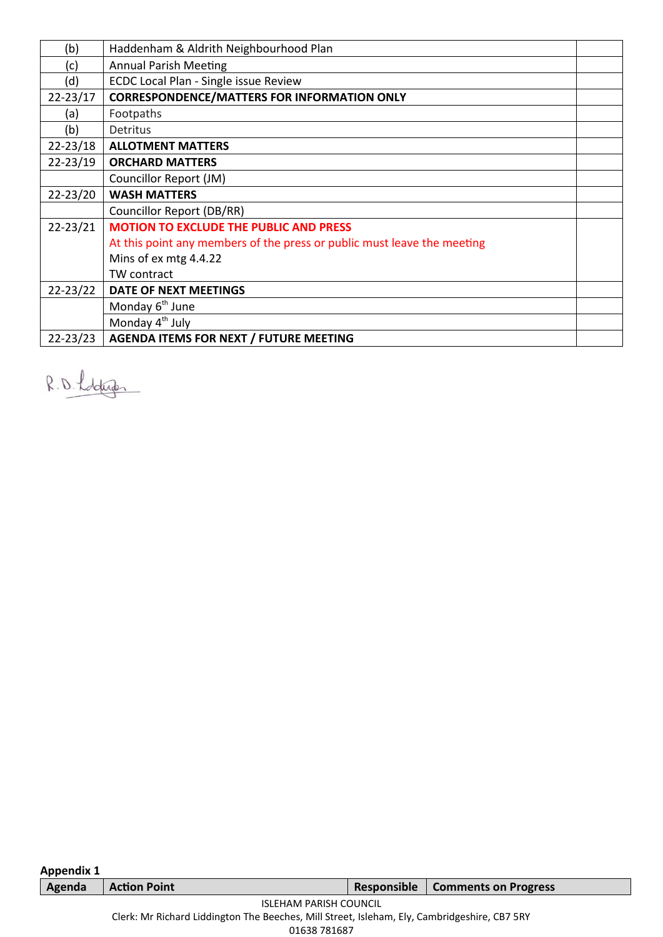| (b)          | Haddenham & Aldrith Neighbourhood Plan                                  |  |
|--------------|-------------------------------------------------------------------------|--|
| (c)          | <b>Annual Parish Meeting</b>                                            |  |
| (d)          | ECDC Local Plan - Single issue Review                                   |  |
| $22 - 23/17$ | <b>CORRESPONDENCE/MATTERS FOR INFORMATION ONLY</b>                      |  |
| (a)          | Footpaths                                                               |  |
| (b)          | Detritus                                                                |  |
| $22 - 23/18$ | <b>ALLOTMENT MATTERS</b>                                                |  |
| 22-23/19     | <b>ORCHARD MATTERS</b>                                                  |  |
|              | Councillor Report (JM)                                                  |  |
| $22 - 23/20$ | <b>WASH MATTERS</b>                                                     |  |
|              | Councillor Report (DB/RR)                                               |  |
| $22 - 23/21$ | <b>MOTION TO EXCLUDE THE PUBLIC AND PRESS</b>                           |  |
|              | At this point any members of the press or public must leave the meeting |  |
|              | Mins of ex mtg 4.4.22                                                   |  |
|              | TW contract                                                             |  |
| 22-23/22     | DATE OF NEXT MEETINGS                                                   |  |
|              | Monday 6 <sup>th</sup> June                                             |  |
|              | Monday 4 <sup>th</sup> July                                             |  |
| $22 - 23/23$ | <b>AGENDA ITEMS FOR NEXT / FUTURE MEETING</b>                           |  |

R.D. Lobtup

| <b>Appendix 1</b>                                                                            |                                                                   |  |  |  |  |  |  |
|----------------------------------------------------------------------------------------------|-------------------------------------------------------------------|--|--|--|--|--|--|
| Agenda                                                                                       | <b>Comments on Progress</b><br><b>Action Point</b><br>Responsible |  |  |  |  |  |  |
| <b>ISLEHAM PARISH COUNCIL</b>                                                                |                                                                   |  |  |  |  |  |  |
| Clerk: Mr Richard Liddington The Beeches, Mill Street, Isleham, Ely, Cambridgeshire, CB7 5RY |                                                                   |  |  |  |  |  |  |
|                                                                                              | 01638 781687                                                      |  |  |  |  |  |  |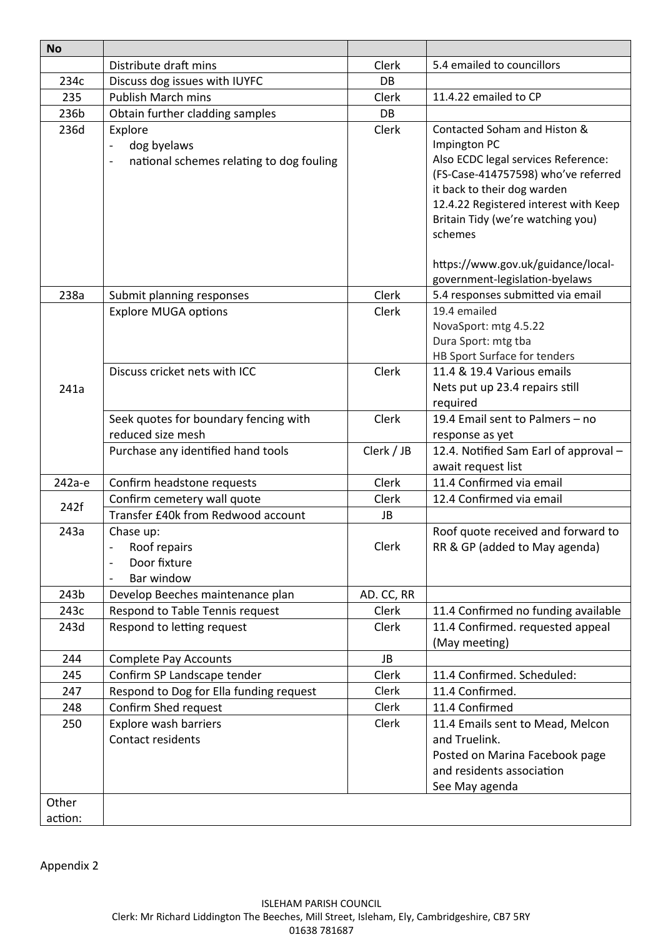| <b>No</b>    |                                                                      |                |                                                   |
|--------------|----------------------------------------------------------------------|----------------|---------------------------------------------------|
|              | Distribute draft mins                                                | Clerk          | 5.4 emailed to councillors                        |
| 234c         | Discuss dog issues with IUYFC                                        | DB             |                                                   |
| 235          | <b>Publish March mins</b>                                            | Clerk          | 11.4.22 emailed to CP                             |
| 236b         | Obtain further cladding samples                                      | <b>DB</b>      |                                                   |
| 236d         | Explore                                                              | Clerk          | Contacted Soham and Histon &                      |
|              | dog byelaws<br>$\qquad \qquad \blacksquare$                          |                | Impington PC                                      |
|              | national schemes relating to dog fouling<br>$\overline{\phantom{a}}$ |                | Also ECDC legal services Reference:               |
|              |                                                                      |                | (FS-Case-414757598) who've referred               |
|              |                                                                      |                | it back to their dog warden                       |
|              |                                                                      |                | 12.4.22 Registered interest with Keep             |
|              |                                                                      |                | Britain Tidy (we're watching you)                 |
|              |                                                                      |                | schemes                                           |
|              |                                                                      |                | https://www.gov.uk/guidance/local-                |
|              |                                                                      |                | government-legislation-byelaws                    |
| 238a         | Submit planning responses                                            | Clerk          | 5.4 responses submitted via email                 |
|              | <b>Explore MUGA options</b>                                          | Clerk          | 19.4 emailed                                      |
|              |                                                                      |                | NovaSport: mtg 4.5.22                             |
|              |                                                                      |                | Dura Sport: mtg tba                               |
|              |                                                                      |                | HB Sport Surface for tenders                      |
|              | Discuss cricket nets with ICC                                        | Clerk          | 11.4 & 19.4 Various emails                        |
| 241a         |                                                                      |                | Nets put up 23.4 repairs still                    |
|              |                                                                      |                | required                                          |
|              | Seek quotes for boundary fencing with                                | Clerk          | 19.4 Email sent to Palmers - no                   |
|              | reduced size mesh                                                    |                | response as yet                                   |
|              | Purchase any identified hand tools                                   | Clerk / JB     | 12.4. Notified Sam Earl of approval -             |
|              |                                                                      |                | await request list                                |
| 242а-е       | Confirm headstone requests                                           | <b>Clerk</b>   | 11.4 Confirmed via email                          |
| 242f         | Confirm cemetery wall quote                                          | Clerk          | 12.4 Confirmed via email                          |
|              | Transfer £40k from Redwood account                                   | JB             |                                                   |
| 243a         | Chase up:                                                            |                | Roof quote received and forward to                |
|              | Roof repairs                                                         | Clerk          | RR & GP (added to May agenda)                     |
|              | Door fixture                                                         |                |                                                   |
|              | Bar window                                                           |                |                                                   |
| 243b<br>243c | Develop Beeches maintenance plan                                     | AD. CC, RR     |                                                   |
|              | Respond to Table Tennis request                                      | Clerk<br>Clerk | 11.4 Confirmed no funding available               |
| 243d         | Respond to letting request                                           |                | 11.4 Confirmed. requested appeal<br>(May meeting) |
| 244          | <b>Complete Pay Accounts</b>                                         | JB             |                                                   |
| 245          | Confirm SP Landscape tender                                          | Clerk          | 11.4 Confirmed. Scheduled:                        |
| 247          | Respond to Dog for Ella funding request                              | Clerk          | 11.4 Confirmed.                                   |
| 248          | Confirm Shed request                                                 | Clerk          | 11.4 Confirmed                                    |
| 250          | Explore wash barriers                                                | Clerk          | 11.4 Emails sent to Mead, Melcon                  |
|              | Contact residents                                                    |                | and Truelink.                                     |
|              |                                                                      |                | Posted on Marina Facebook page                    |
|              |                                                                      |                | and residents association                         |
|              |                                                                      |                | See May agenda                                    |
| Other        |                                                                      |                |                                                   |
| action:      |                                                                      |                |                                                   |

Appendix 2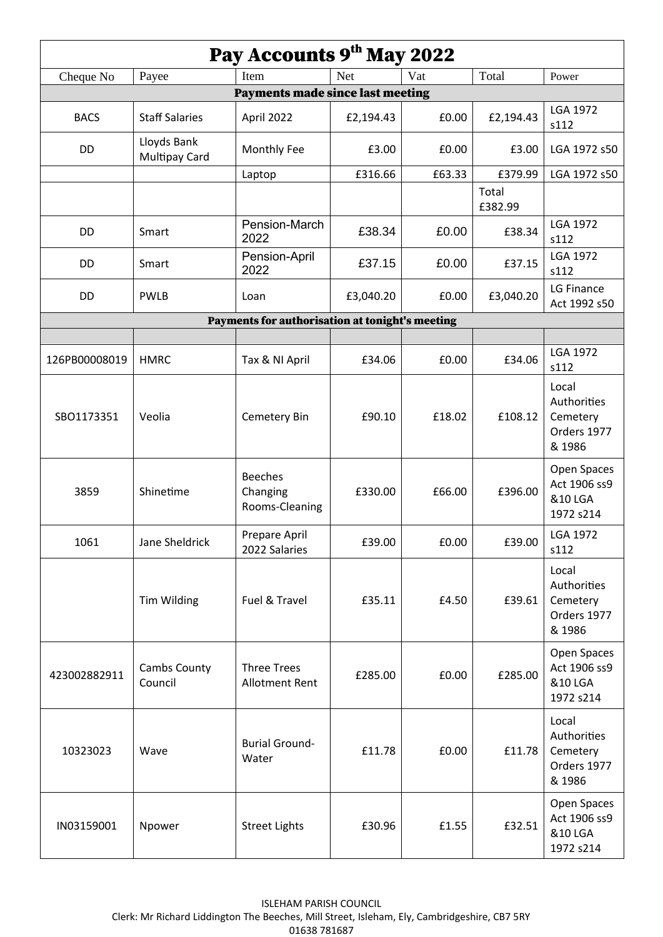| Pay Accounts 9th May 2022 |                                     |                                                 |            |        |                  |                                                           |
|---------------------------|-------------------------------------|-------------------------------------------------|------------|--------|------------------|-----------------------------------------------------------|
| Cheque No                 | Payee                               | Item                                            | <b>Net</b> | Vat    | Total            | Power                                                     |
|                           |                                     | <b>Payments made since last meeting</b>         |            |        |                  |                                                           |
| <b>BACS</b>               | <b>Staff Salaries</b>               | April 2022                                      | £2,194.43  | £0.00  | £2,194.43        | LGA 1972<br>s112                                          |
| DD                        | Lloyds Bank<br><b>Multipay Card</b> | Monthly Fee                                     | £3.00      | £0.00  | £3.00            | LGA 1972 s50                                              |
|                           |                                     | Laptop                                          | £316.66    | £63.33 | £379.99          | LGA 1972 s50                                              |
|                           |                                     |                                                 |            |        | Total<br>£382.99 |                                                           |
| DD                        | Smart                               | Pension-March<br>2022                           | £38.34     | £0.00  | £38.34           | <b>LGA 1972</b><br>s112                                   |
| DD                        | Smart                               | Pension-April<br>2022                           | £37.15     | £0.00  | £37.15           | <b>LGA 1972</b><br>s112                                   |
| <b>DD</b>                 | <b>PWLB</b>                         | Loan                                            | £3,040.20  | £0.00  | £3,040.20        | LG Finance<br>Act 1992 s50                                |
|                           |                                     | Payments for authorisation at tonight's meeting |            |        |                  |                                                           |
|                           |                                     |                                                 |            |        |                  |                                                           |
| 126PB00008019             | <b>HMRC</b>                         | Tax & NI April                                  | £34.06     | £0.00  | £34.06           | <b>LGA 1972</b><br>s112                                   |
| SBO1173351                | Veolia                              | Cemetery Bin                                    | £90.10     | £18.02 | £108.12          | Local<br>Authorities<br>Cemetery<br>Orders 1977<br>& 1986 |
| 3859                      | Shinetime                           | <b>Beeches</b><br>Changing<br>Rooms-Cleaning    | £330.00    | £66.00 | £396.00          | Open Spaces<br>Act 1906 ss9<br>&10 LGA<br>1972 s214       |
| 1061                      | Jane Sheldrick                      | Prepare April<br>2022 Salaries                  | £39.00     | £0.00  | £39.00           | <b>LGA 1972</b><br>s112                                   |
|                           | <b>Tim Wilding</b>                  | Fuel & Travel                                   | £35.11     | £4.50  | £39.61           | Local<br>Authorities<br>Cemetery<br>Orders 1977<br>& 1986 |
| 423002882911              | Cambs County<br>Council             | <b>Three Trees</b><br><b>Allotment Rent</b>     | £285.00    | £0.00  | £285.00          | Open Spaces<br>Act 1906 ss9<br>&10 LGA<br>1972 s214       |
| 10323023                  | Wave                                | <b>Burial Ground-</b><br>Water                  | £11.78     | £0.00  | £11.78           | Local<br>Authorities<br>Cemetery<br>Orders 1977<br>& 1986 |
| IN03159001                | Npower                              | <b>Street Lights</b>                            | £30.96     | £1.55  | £32.51           | Open Spaces<br>Act 1906 ss9<br>&10 LGA<br>1972 s214       |